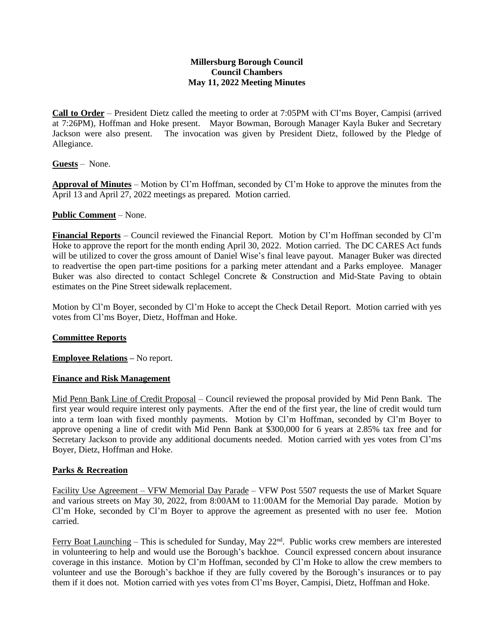# **Millersburg Borough Council Council Chambers May 11, 2022 Meeting Minutes**

**Call to Order** – President Dietz called the meeting to order at 7:05PM with Cl'ms Boyer, Campisi (arrived at 7:26PM), Hoffman and Hoke present. Mayor Bowman, Borough Manager Kayla Buker and Secretary Jackson were also present. The invocation was given by President Dietz, followed by the Pledge of Allegiance.

**Guests** – None.

**Approval of Minutes** – Motion by Cl'm Hoffman, seconded by Cl'm Hoke to approve the minutes from the April 13 and April 27, 2022 meetings as prepared. Motion carried.

### **Public Comment** – None.

**Financial Reports** – Council reviewed the Financial Report. Motion by Cl'm Hoffman seconded by Cl'm Hoke to approve the report for the month ending April 30, 2022. Motion carried. The DC CARES Act funds will be utilized to cover the gross amount of Daniel Wise's final leave payout. Manager Buker was directed to readvertise the open part-time positions for a parking meter attendant and a Parks employee. Manager Buker was also directed to contact Schlegel Concrete & Construction and Mid-State Paving to obtain estimates on the Pine Street sidewalk replacement.

Motion by Cl'm Boyer, seconded by Cl'm Hoke to accept the Check Detail Report. Motion carried with yes votes from Cl'ms Boyer, Dietz, Hoffman and Hoke.

### **Committee Reports**

**Employee Relations –** No report.

### **Finance and Risk Management**

Mid Penn Bank Line of Credit Proposal – Council reviewed the proposal provided by Mid Penn Bank. The first year would require interest only payments. After the end of the first year, the line of credit would turn into a term loan with fixed monthly payments. Motion by Cl'm Hoffman, seconded by Cl'm Boyer to approve opening a line of credit with Mid Penn Bank at \$300,000 for 6 years at 2.85% tax free and for Secretary Jackson to provide any additional documents needed. Motion carried with yes votes from Cl'ms Boyer, Dietz, Hoffman and Hoke.

### **Parks & Recreation**

Facility Use Agreement – VFW Memorial Day Parade – VFW Post 5507 requests the use of Market Square and various streets on May 30, 2022, from 8:00AM to 11:00AM for the Memorial Day parade. Motion by Cl'm Hoke, seconded by Cl'm Boyer to approve the agreement as presented with no user fee. Motion carried.

Ferry Boat Launching – This is scheduled for Sunday, May 22<sup>nd</sup>. Public works crew members are interested in volunteering to help and would use the Borough's backhoe. Council expressed concern about insurance coverage in this instance. Motion by Cl'm Hoffman, seconded by Cl'm Hoke to allow the crew members to volunteer and use the Borough's backhoe if they are fully covered by the Borough's insurances or to pay them if it does not. Motion carried with yes votes from Cl'ms Boyer, Campisi, Dietz, Hoffman and Hoke.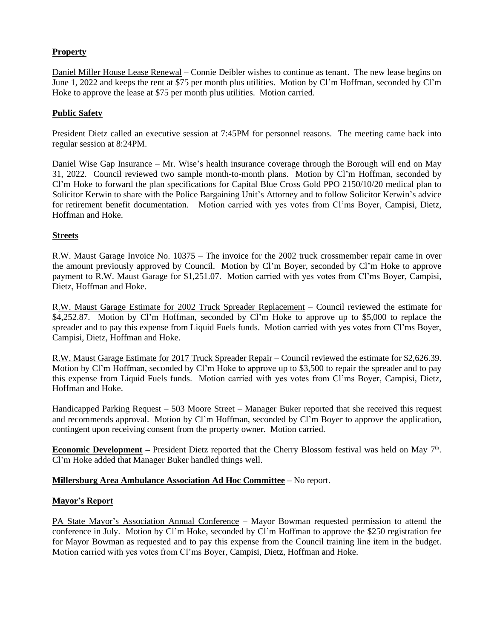# **Property**

Daniel Miller House Lease Renewal – Connie Deibler wishes to continue as tenant. The new lease begins on June 1, 2022 and keeps the rent at \$75 per month plus utilities. Motion by Cl'm Hoffman, seconded by Cl'm Hoke to approve the lease at \$75 per month plus utilities. Motion carried.

### **Public Safety**

President Dietz called an executive session at 7:45PM for personnel reasons. The meeting came back into regular session at 8:24PM.

Daniel Wise Gap Insurance – Mr. Wise's health insurance coverage through the Borough will end on May 31, 2022. Council reviewed two sample month-to-month plans. Motion by Cl'm Hoffman, seconded by Cl'm Hoke to forward the plan specifications for Capital Blue Cross Gold PPO 2150/10/20 medical plan to Solicitor Kerwin to share with the Police Bargaining Unit's Attorney and to follow Solicitor Kerwin's advice for retirement benefit documentation. Motion carried with yes votes from Cl'ms Boyer, Campisi, Dietz, Hoffman and Hoke.

### **Streets**

R.W. Maust Garage Invoice No. 10375 – The invoice for the 2002 truck crossmember repair came in over the amount previously approved by Council. Motion by Cl'm Boyer, seconded by Cl'm Hoke to approve payment to R.W. Maust Garage for \$1,251.07. Motion carried with yes votes from Cl'ms Boyer, Campisi, Dietz, Hoffman and Hoke.

R.W. Maust Garage Estimate for 2002 Truck Spreader Replacement – Council reviewed the estimate for \$4,252.87. Motion by Cl'm Hoffman, seconded by Cl'm Hoke to approve up to \$5,000 to replace the spreader and to pay this expense from Liquid Fuels funds. Motion carried with yes votes from Cl'ms Boyer, Campisi, Dietz, Hoffman and Hoke.

R.W. Maust Garage Estimate for 2017 Truck Spreader Repair – Council reviewed the estimate for \$2,626.39. Motion by Cl'm Hoffman, seconded by Cl'm Hoke to approve up to \$3,500 to repair the spreader and to pay this expense from Liquid Fuels funds. Motion carried with yes votes from Cl'ms Boyer, Campisi, Dietz, Hoffman and Hoke.

Handicapped Parking Request – 503 Moore Street – Manager Buker reported that she received this request and recommends approval. Motion by Cl'm Hoffman, seconded by Cl'm Boyer to approve the application, contingent upon receiving consent from the property owner. Motion carried.

**Economic Development** – President Dietz reported that the Cherry Blossom festival was held on May 7<sup>th</sup>. Cl'm Hoke added that Manager Buker handled things well.

### **Millersburg Area Ambulance Association Ad Hoc Committee** – No report.

### **Mayor's Report**

PA State Mayor's Association Annual Conference – Mayor Bowman requested permission to attend the conference in July. Motion by Cl'm Hoke, seconded by Cl'm Hoffman to approve the \$250 registration fee for Mayor Bowman as requested and to pay this expense from the Council training line item in the budget. Motion carried with yes votes from Cl'ms Boyer, Campisi, Dietz, Hoffman and Hoke.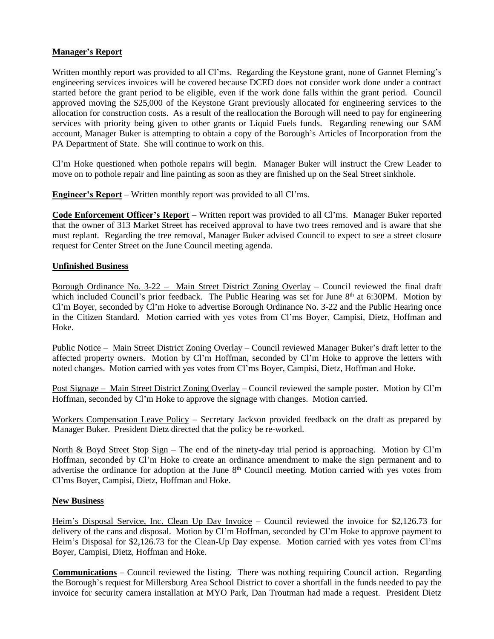### **Manager's Report**

Written monthly report was provided to all Cl'ms. Regarding the Keystone grant, none of Gannet Fleming's engineering services invoices will be covered because DCED does not consider work done under a contract started before the grant period to be eligible, even if the work done falls within the grant period. Council approved moving the \$25,000 of the Keystone Grant previously allocated for engineering services to the allocation for construction costs. As a result of the reallocation the Borough will need to pay for engineering services with priority being given to other grants or Liquid Fuels funds. Regarding renewing our SAM account, Manager Buker is attempting to obtain a copy of the Borough's Articles of Incorporation from the PA Department of State. She will continue to work on this.

Cl'm Hoke questioned when pothole repairs will begin. Manager Buker will instruct the Crew Leader to move on to pothole repair and line painting as soon as they are finished up on the Seal Street sinkhole.

**Engineer's Report** – Written monthly report was provided to all Cl'ms.

**Code Enforcement Officer's Report –** Written report was provided to all Cl'ms. Manager Buker reported that the owner of 313 Market Street has received approval to have two trees removed and is aware that she must replant. Regarding the tree removal, Manager Buker advised Council to expect to see a street closure request for Center Street on the June Council meeting agenda.

# **Unfinished Business**

Borough Ordinance No. 3-22 – Main Street District Zoning Overlay – Council reviewed the final draft which included Council's prior feedback. The Public Hearing was set for June  $8<sup>th</sup>$  at 6:30PM. Motion by Cl'm Boyer, seconded by Cl'm Hoke to advertise Borough Ordinance No. 3-22 and the Public Hearing once in the Citizen Standard. Motion carried with yes votes from Cl'ms Boyer, Campisi, Dietz, Hoffman and Hoke.

Public Notice – Main Street District Zoning Overlay – Council reviewed Manager Buker's draft letter to the affected property owners. Motion by Cl'm Hoffman, seconded by Cl'm Hoke to approve the letters with noted changes. Motion carried with yes votes from Cl'ms Boyer, Campisi, Dietz, Hoffman and Hoke.

Post Signage – Main Street District Zoning Overlay – Council reviewed the sample poster. Motion by Cl'm Hoffman, seconded by Cl'm Hoke to approve the signage with changes. Motion carried.

Workers Compensation Leave Policy – Secretary Jackson provided feedback on the draft as prepared by Manager Buker. President Dietz directed that the policy be re-worked.

North & Boyd Street Stop Sign – The end of the ninety-day trial period is approaching. Motion by Cl'm Hoffman, seconded by Cl'm Hoke to create an ordinance amendment to make the sign permanent and to advertise the ordinance for adoption at the June 8<sup>th</sup> Council meeting. Motion carried with yes votes from Cl'ms Boyer, Campisi, Dietz, Hoffman and Hoke.

### **New Business**

Heim's Disposal Service, Inc. Clean Up Day Invoice – Council reviewed the invoice for \$2,126.73 for delivery of the cans and disposal. Motion by Cl'm Hoffman, seconded by Cl'm Hoke to approve payment to Heim's Disposal for \$2,126.73 for the Clean-Up Day expense. Motion carried with yes votes from Cl'ms Boyer, Campisi, Dietz, Hoffman and Hoke.

**Communications** – Council reviewed the listing. There was nothing requiring Council action. Regarding the Borough's request for Millersburg Area School District to cover a shortfall in the funds needed to pay the invoice for security camera installation at MYO Park, Dan Troutman had made a request. President Dietz